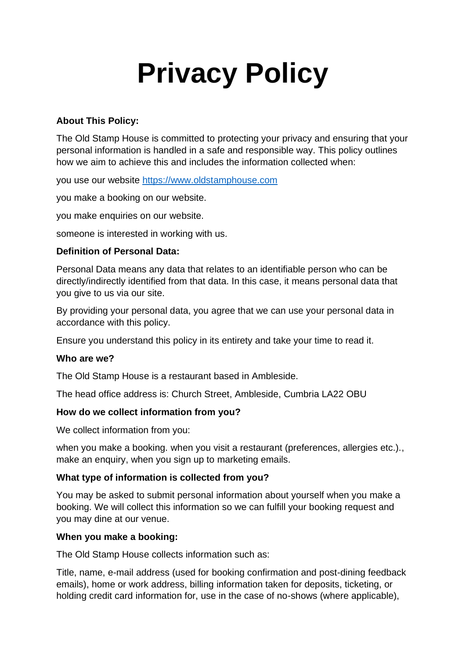# **Privacy Policy**

## **About This Policy:**

The Old Stamp House is committed to protecting your privacy and ensuring that your personal information is handled in a safe and responsible way. This policy outlines how we aim to achieve this and includes the information collected when:

you use our website [https://www.oldstamphouse.com](https://www.oldstamphouse.com/)

you make a booking on our website.

you make enquiries on our website.

someone is interested in working with us.

## **Definition of Personal Data:**

Personal Data means any data that relates to an identifiable person who can be directly/indirectly identified from that data. In this case, it means personal data that you give to us via our site.

By providing your personal data, you agree that we can use your personal data in accordance with this policy.

Ensure you understand this policy in its entirety and take your time to read it.

#### **Who are we?**

The Old Stamp House is a restaurant based in Ambleside.

The head office address is: Church Street, Ambleside, Cumbria LA22 OBU

#### **How do we collect information from you?**

We collect information from you:

when you make a booking. when you visit a restaurant (preferences, allergies etc.)., make an enquiry, when you sign up to marketing emails.

#### **What type of information is collected from you?**

You may be asked to submit personal information about yourself when you make a booking. We will collect this information so we can fulfill your booking request and you may dine at our venue.

#### **When you make a booking:**

The Old Stamp House collects information such as:

Title, name, e-mail address (used for booking confirmation and post-dining feedback emails), home or work address, billing information taken for deposits, ticketing, or holding credit card information for, use in the case of no-shows (where applicable),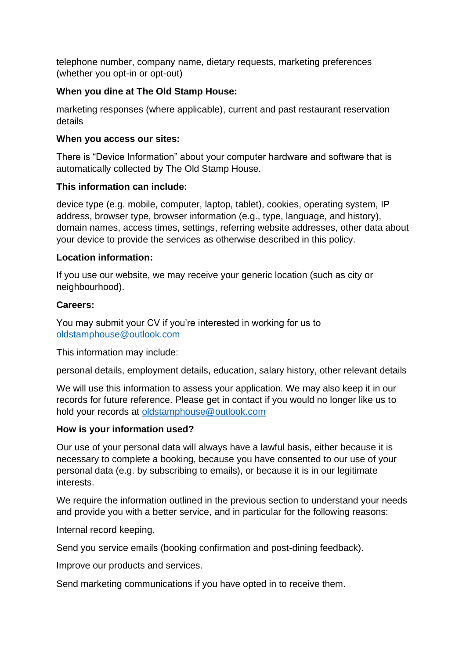telephone number, company name, dietary requests, marketing preferences (whether you opt-in or opt-out)

## **When you dine at The Old Stamp House:**

marketing responses (where applicable), current and past restaurant reservation details

#### **When you access our sites:**

There is "Device Information" about your computer hardware and software that is automatically collected by The Old Stamp House.

## **This information can include:**

device type (e.g. mobile, computer, laptop, tablet), cookies, operating system, IP address, browser type, browser information (e.g., type, language, and history), domain names, access times, settings, referring website addresses, other data about your device to provide the services as otherwise described in this policy.

## **Location information:**

If you use our website, we may receive your generic location (such as city or neighbourhood).

#### **Careers:**

You may submit your CV if you're interested in working for us to [oldstamphouse@outlook.com](mailto:oldstamphouse@outlook.com) 

This information may include:

personal details, employment details, education, salary history, other relevant details

We will use this information to assess your application. We may also keep it in our records for future reference. Please get in contact if you would no longer like us to hold your records at [oldstamphouse@outlook.com](mailto:oldstamphouse@outlook.com)

# **How is your information used?**

Our use of your personal data will always have a lawful basis, either because it is necessary to complete a booking, because you have consented to our use of your personal data (e.g. by subscribing to emails), or because it is in our legitimate interests.

We require the information outlined in the previous section to understand your needs and provide you with a better service, and in particular for the following reasons:

Internal record keeping.

Send you service emails (booking confirmation and post-dining feedback).

Improve our products and services.

Send marketing communications if you have opted in to receive them.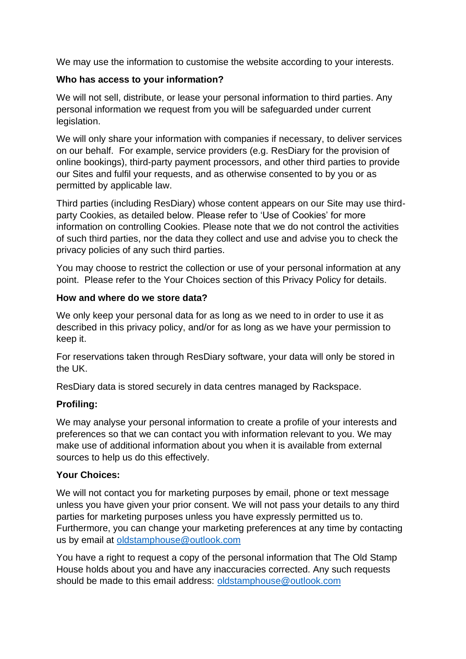We may use the information to customise the website according to your interests.

# **Who has access to your information?**

We will not sell, distribute, or lease your personal information to third parties. Any personal information we request from you will be safeguarded under current legislation.

We will only share your information with companies if necessary, to deliver services on our behalf. For example, service providers (e.g. ResDiary for the provision of online bookings), third-party payment processors, and other third parties to provide our Sites and fulfil your requests, and as otherwise consented to by you or as permitted by applicable law.

Third parties (including ResDiary) whose content appears on our Site may use thirdparty Cookies, as detailed below. Please refer to 'Use of Cookies' for more information on controlling Cookies. Please note that we do not control the activities of such third parties, nor the data they collect and use and advise you to check the privacy policies of any such third parties.

You may choose to restrict the collection or use of your personal information at any point. Please refer to the Your Choices section of this Privacy Policy for details.

# **How and where do we store data?**

We only keep your personal data for as long as we need to in order to use it as described in this privacy policy, and/or for as long as we have your permission to keep it.

For reservations taken through ResDiary software, your data will only be stored in the UK.

ResDiary data is stored securely in data centres managed by Rackspace.

# **Profiling:**

We may analyse your personal information to create a profile of your interests and preferences so that we can contact you with information relevant to you. We may make use of additional information about you when it is available from external sources to help us do this effectively.

# **Your Choices:**

We will not contact you for marketing purposes by email, phone or text message unless you have given your prior consent. We will not pass your details to any third parties for marketing purposes unless you have expressly permitted us to. Furthermore, you can change your marketing preferences at any time by contacting us by email at [oldstamphouse@outlook.com](mailto:oldstamphouse@outlook.com)

You have a right to request a copy of the personal information that The Old Stamp House holds about you and have any inaccuracies corrected. Any such requests should be made to this email address: [oldstamphouse@outlook.com](mailto:oldstamphouse@outlook.com)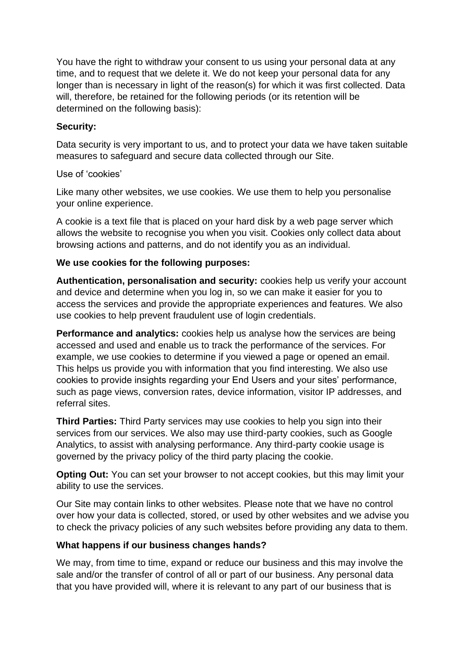You have the right to withdraw your consent to us using your personal data at any time, and to request that we delete it. We do not keep your personal data for any longer than is necessary in light of the reason(s) for which it was first collected. Data will, therefore, be retained for the following periods (or its retention will be determined on the following basis):

## **Security:**

Data security is very important to us, and to protect your data we have taken suitable measures to safeguard and secure data collected through our Site.

Use of 'cookies'

Like many other websites, we use cookies. We use them to help you personalise your online experience.

A cookie is a text file that is placed on your hard disk by a web page server which allows the website to recognise you when you visit. Cookies only collect data about browsing actions and patterns, and do not identify you as an individual.

# **We use cookies for the following purposes:**

**Authentication, personalisation and security:** cookies help us verify your account and device and determine when you log in, so we can make it easier for you to access the services and provide the appropriate experiences and features. We also use cookies to help prevent fraudulent use of login credentials.

**Performance and analytics:** cookies help us analyse how the services are being accessed and used and enable us to track the performance of the services. For example, we use cookies to determine if you viewed a page or opened an email. This helps us provide you with information that you find interesting. We also use cookies to provide insights regarding your End Users and your sites' performance, such as page views, conversion rates, device information, visitor IP addresses, and referral sites.

**Third Parties:** Third Party services may use cookies to help you sign into their services from our services. We also may use third-party cookies, such as Google Analytics, to assist with analysing performance. Any third-party cookie usage is governed by the privacy policy of the third party placing the cookie.

**Opting Out:** You can set your browser to not accept cookies, but this may limit your ability to use the services.

Our Site may contain links to other websites. Please note that we have no control over how your data is collected, stored, or used by other websites and we advise you to check the privacy policies of any such websites before providing any data to them.

# **What happens if our business changes hands?**

We may, from time to time, expand or reduce our business and this may involve the sale and/or the transfer of control of all or part of our business. Any personal data that you have provided will, where it is relevant to any part of our business that is